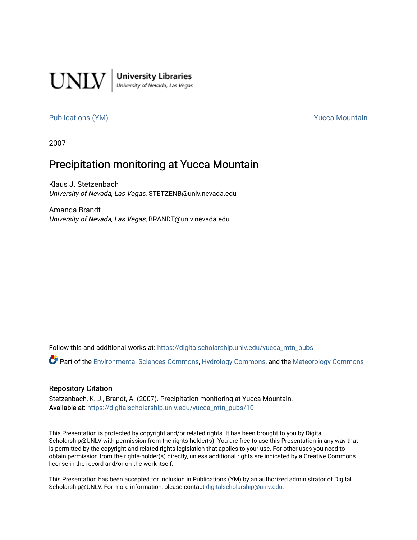

**University Libraries**<br>University of Nevada, Las Vegas

#### [Publications \(YM\)](https://digitalscholarship.unlv.edu/yucca_mtn_pubs) **Publications** (YM) **Publications** (YM)

2007

#### Precipitation monitoring at Yucca Mountain

Klaus J. Stetzenbach University of Nevada, Las Vegas, STETZENB@unlv.nevada.edu

Amanda Brandt University of Nevada, Las Vegas, BRANDT@unlv.nevada.edu

Follow this and additional works at: [https://digitalscholarship.unlv.edu/yucca\\_mtn\\_pubs](https://digitalscholarship.unlv.edu/yucca_mtn_pubs?utm_source=digitalscholarship.unlv.edu%2Fyucca_mtn_pubs%2F10&utm_medium=PDF&utm_campaign=PDFCoverPages)

Part of the [Environmental Sciences Commons](http://network.bepress.com/hgg/discipline/167?utm_source=digitalscholarship.unlv.edu%2Fyucca_mtn_pubs%2F10&utm_medium=PDF&utm_campaign=PDFCoverPages), [Hydrology Commons](http://network.bepress.com/hgg/discipline/1054?utm_source=digitalscholarship.unlv.edu%2Fyucca_mtn_pubs%2F10&utm_medium=PDF&utm_campaign=PDFCoverPages), and the [Meteorology Commons](http://network.bepress.com/hgg/discipline/190?utm_source=digitalscholarship.unlv.edu%2Fyucca_mtn_pubs%2F10&utm_medium=PDF&utm_campaign=PDFCoverPages)

#### Repository Citation

Stetzenbach, K. J., Brandt, A. (2007). Precipitation monitoring at Yucca Mountain. Available at: [https://digitalscholarship.unlv.edu/yucca\\_mtn\\_pubs/10](https://digitalscholarship.unlv.edu/yucca_mtn_pubs/10) 

This Presentation is protected by copyright and/or related rights. It has been brought to you by Digital Scholarship@UNLV with permission from the rights-holder(s). You are free to use this Presentation in any way that is permitted by the copyright and related rights legislation that applies to your use. For other uses you need to obtain permission from the rights-holder(s) directly, unless additional rights are indicated by a Creative Commons license in the record and/or on the work itself.

This Presentation has been accepted for inclusion in Publications (YM) by an authorized administrator of Digital Scholarship@UNLV. For more information, please contact [digitalscholarship@unlv.edu.](mailto:digitalscholarship@unlv.edu)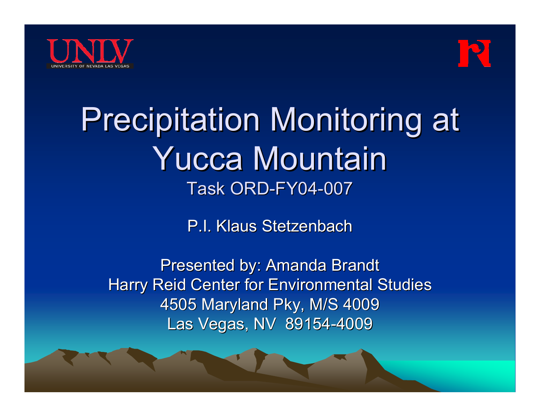



# **Precipitation Monitoring at** Yucca Mountain Yucca MountainTask ORD-FY04-007

P.I. Klaus Stetzenbach

Presented by: Amanda Brandt Harry Reid Center for Environmental Studies 4505 Maryland Pky, M/S 4009 Las Vegas, NV 89154-4009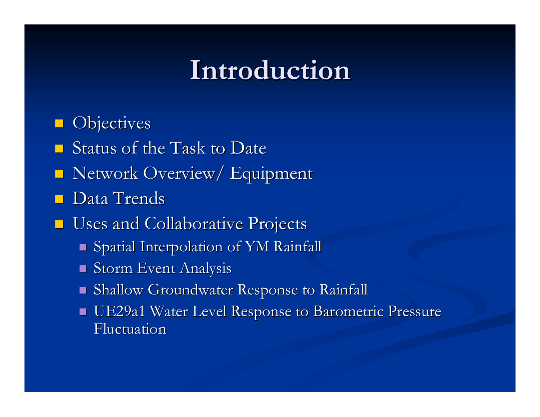### **Introduction Introduction**

 $\Box$ **Objectives** 

- $\blacksquare$ Status of the Task to Date
- **Network Overview/ Equipment**
- $\Box$ Data Trends
- **Uses and Collaborative Projects** 
	- $\blacksquare$  Spatial Interpolation of YM Rainfall
	- $\blacksquare$  Storm Event Analysis
	- $\blacksquare$  Shallow Groundwater Response to Rainfall
	- $\blacksquare$  UE29a1 Water Level Response to Barometric Pressure Fluctuation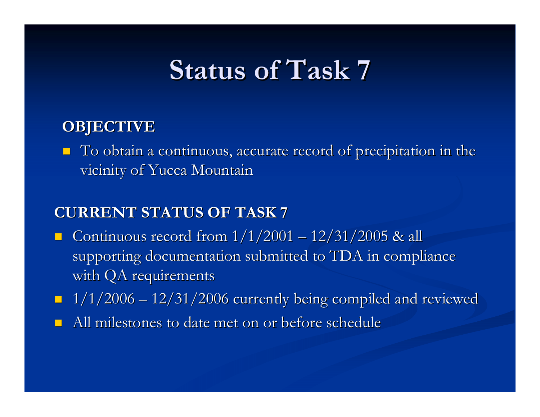### **Status of Task 7 Status of Task 7**

### **OBJECTIVE OBJECTIVE**

 $\blacksquare$  To obtain a continuous, accurate record of precipitation in the vicinity of Yucca Mountain

### **CURRENT STATUS OF TASK 7 CURRENT STATUS OF TASK 7**

- $\Box$ Gontinuous record from  $1/1/2001$ . <u>– Listo Listo Listo Listo Listo Listo Listo Listo Listo Listo Listo Listo Listo Listo Listo Listo Listo Listo </u>  $-12/31/2005$  & all supporting documentation submitted to TDA in compliance with QA requirements
- $-1/1/2006$  ·  $-$  12/31/2006 currently being compiled and reviewed
- $\Box$ All milestones to date met on or before schedule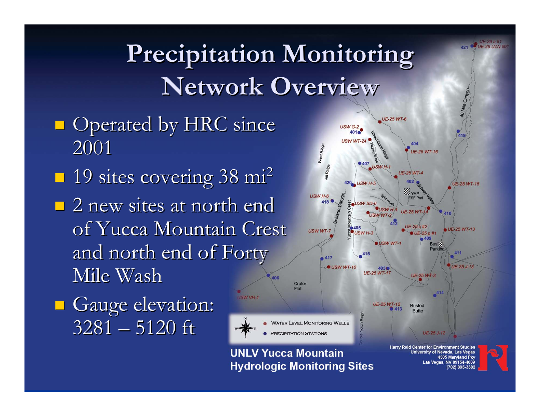### **Precipitation Monitoring Precipitation Monitoring Network Overview Network Overview**

SW VH-1

- $\blacksquare$  Operated by HRC since 2001
- $\blacksquare$  19 sites covering 38 mi<sup>2</sup>
- $\Box$  2 new sites at north end of Yucca Mountain Crest and north end of Forty Mile Wash
- **Gauge elevation:** 3281 – 5120 ft



UE-29 a #1 UF-29 UZN #9

702) 895-3382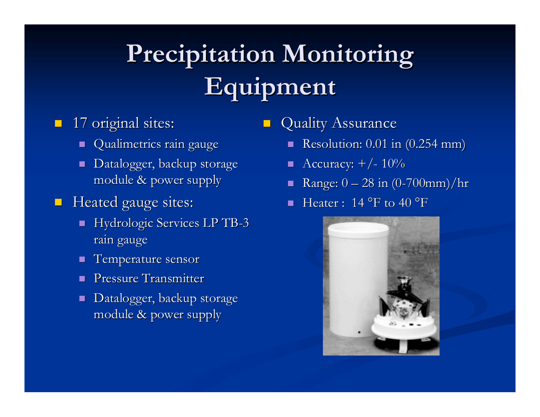# **Precipitation Monitoring Equipment Equipment**

### **17 original sites:**

- $\textcolor{red}{\bullet}$  Qualimetrics rain gauge
- $\textcolor{red}{\bullet}$  Datalogger, backup storage module & power supply module & power supply

#### $\blacksquare$ Heated gauge sites:

- $\blacksquare$  Hydrologic Services LP TB-3 rain gauge
- $\mathbb{R}^2$ Temperature sensor
- **Pressure Transmitter**
- $\blacksquare$ Datalogger, backup storage module & power supply module & power supply

#### $\mathcal{L}$ Quality Assurance

- Resolution:  $0.01$  in  $(0.254 \text{ mm})$
- $\blacksquare$  Accuracy:  $+/$ -  $10\%$
- $\blacksquare$  $\blacksquare$  Range:  $0$   $\cdot$ — 28 in (0-700mm)/hr
- $\blacksquare$  Heater : 14 °F to 40 °F

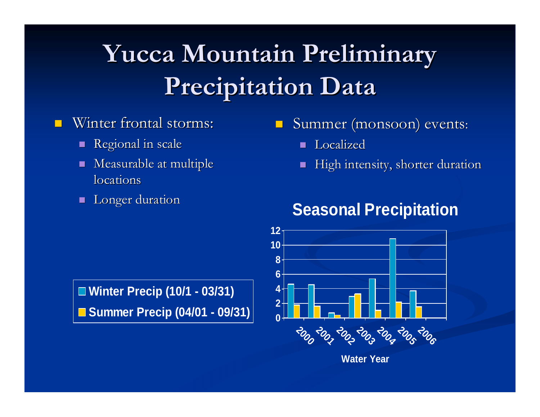## **Yucca Mountain Preliminary Precipitation Data Precipitation Data**

#### П Winter frontal storms:

- **Regional in scale**
- $\blacksquare$  Measurable at multiple locations
- $\mathbf{r}$ Longer duration

#### $\blacksquare$ Summer (monsoon) events:

- **Localized**
- $\mathbf{r}$ High intensity, shorter duration

### **Seasonal Precipitation**



**Winter Precip (10/1 - 03/31)** ■ Summer Precip (04/01 - 09/31)

**Water Year**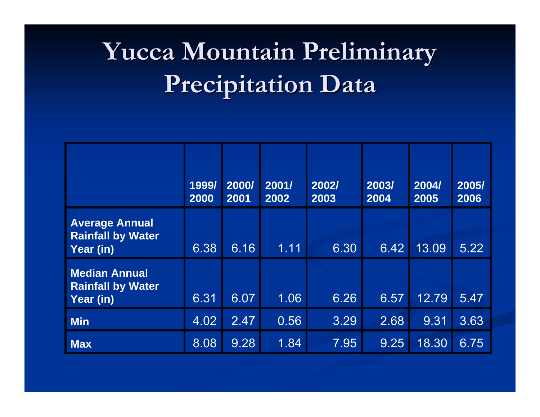# **Yucca Mountain Preliminary Yucca Mountain Preliminary Precipitation Data Precipitation Data**

|                                                                | 1999/<br>2000 | 2000/<br>2001 | 2001/<br>2002 | 2002/<br>2003 | 2003/<br>2004 | 2004/<br>2005 | 2005/<br>2006 |
|----------------------------------------------------------------|---------------|---------------|---------------|---------------|---------------|---------------|---------------|
| <b>Average Annual</b><br><b>Rainfall by Water</b><br>Year (in) | 6.38          | 6.16          | 1.11          | 6.30          | 6.42          | 13.09         | 5.22          |
| <b>Median Annual</b><br><b>Rainfall by Water</b><br>Year (in)  | 6.31          | 6.07          | 1.06          | 6.26          | 6.57          | 12.79         | 5.47          |
| <b>Min</b>                                                     | 4.02          | 2.47          | 0.56          | 3.29          | 2.68          | 9.31          | 3.63          |
| <b>Max</b>                                                     | 8.08          | 9.28          | 1.84          | 7.95          | 9.25          | 18.30         | 6.75          |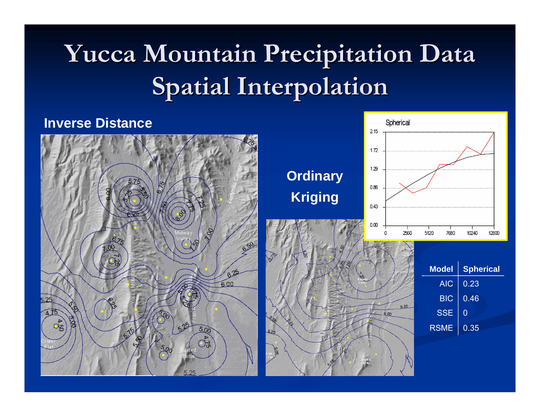# **Yucca Mountain Precipitation Data Yucca Mountain Precipitation Data Spatial Interpolation Spatial Interpolation**

### **Inverse Distance**



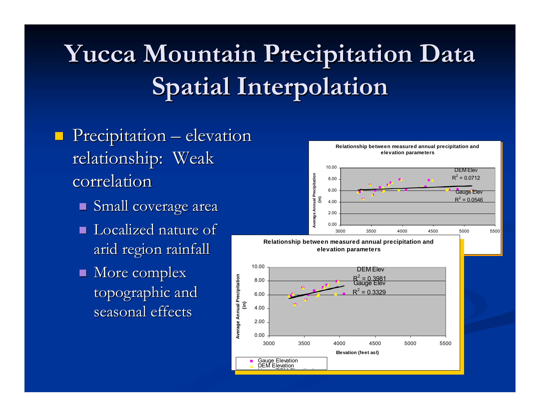# **Yucca Mountain Precipitation Data Yucca Mountain Precipitation Data Spatial Interpolation Spatial Interpolation**

 $\sum_{i=1}^{\infty}$ 

**Average Annual Precipitation** 

- $\blacksquare$  Precipitation  $\cdot$ – elevation relationship: Weak correlation
	- $\blacksquare$  Small coverage area
	- $\blacksquare$  Localized nature of arid region rainfall
	- $\blacksquare$  More complex topographic and seasonal effects

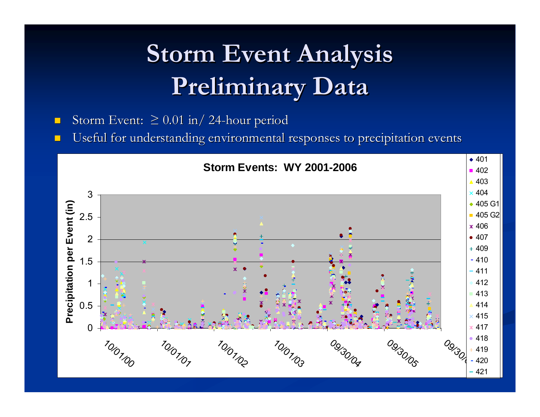## **Storm Event Analysis Preliminary Data Preliminary Data**

- $\blacksquare$ ■ Storm Event:  $\geq 0.01$  in/ 24-hour period
- $\blacksquare$ Useful for understanding environmental responses to precipitation events

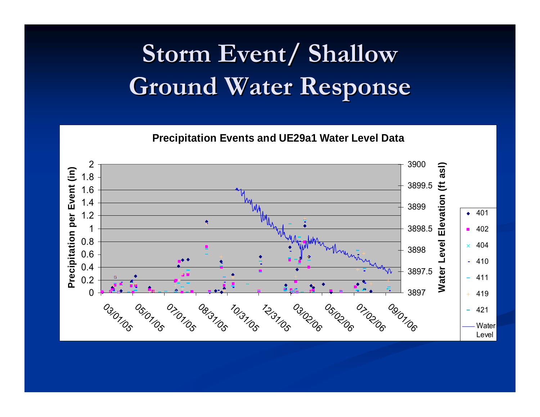## **Storm Event/ Shallow Ground Water Response Ground Water Response**

**Precipitation Events and UE29a1 Water Level Data**

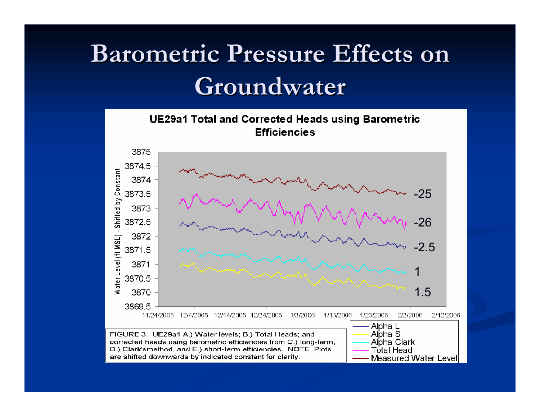## **Barometric Pressure Effects on Groundwater Groundwater**

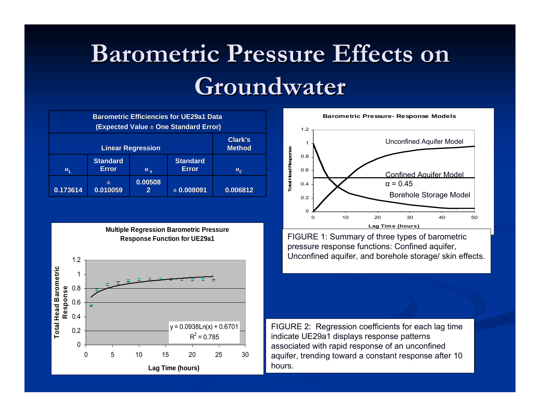## **Barometric Pressure Effects on Groundwater Groundwater**

| <b>Barometric Efficiencies for UE29a1 Data</b><br>(Expected Value ± One Standard Error) |                                 |                  |                                 |             |  |  |  |
|-----------------------------------------------------------------------------------------|---------------------------------|------------------|---------------------------------|-------------|--|--|--|
|                                                                                         | Clark's<br><b>Method</b>        |                  |                                 |             |  |  |  |
| $\alpha_{\rm L}$                                                                        | <b>Standard</b><br><b>Error</b> | $\alpha_{\rm g}$ | <b>Standard</b><br><b>Error</b> | $a_{\rm c}$ |  |  |  |
| 0.173614                                                                                | 士<br>0.010059                   | 0.00508<br>2     | $\pm 0.008091$                  | 0.006812    |  |  |  |

**Multiple Regression Barometric Pressure Response Function for UE29a1**





FIGURE 1: Summary of three types of barometric pressure response functions: Confined aquifer, Unconfined aquifer, and borehole storage/ skin effects.

FIGURE 2: Regression coefficients for each lag time indicate UE29a1 displays response patterns associated with rapid response of an unconfined aquifer, trending toward a constant response after 10 hours.